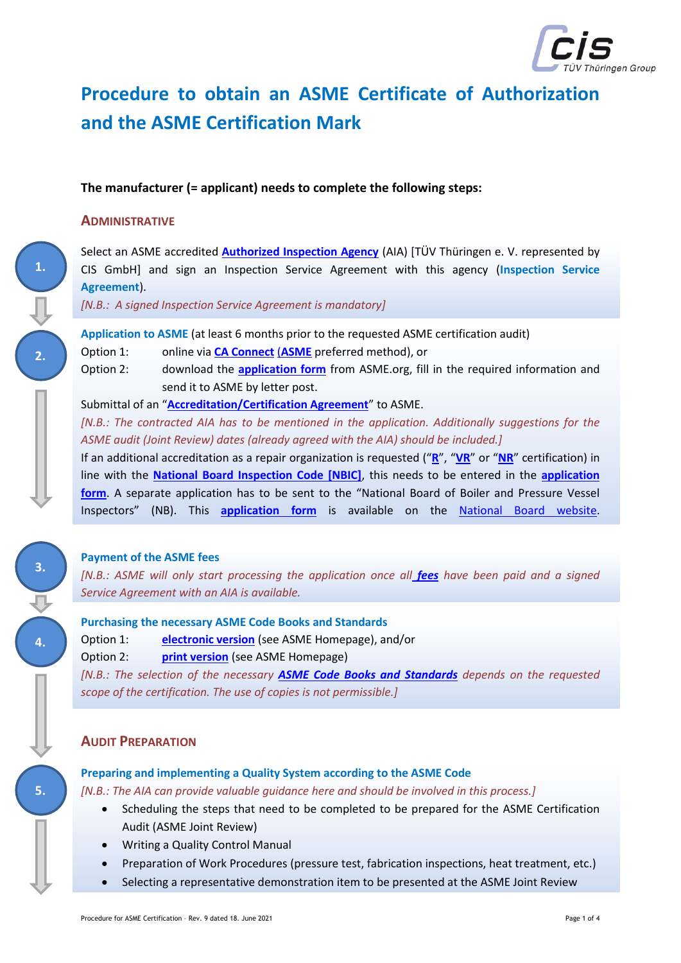

# **Procedure to obtain an ASME Certificate of Authorization and the ASME Certification Mark**

## **The manufacturer (= applicant) needs to complete the following steps:**

### **ADMINISTRATIVE**

**2.**

**1.**

**3.**

**4.**

**5.**

Select an ASME accredited **[Authorized Inspection Agency](http://www.asme.org/wwwasmeorg/media/ResourceFiles/Shop/Certification%20%26%20Accreditation/BPV-Certification/BPV-Certification_Additional-Information_List-of-Authorized-Inspection-Agencies.pdf)** (AIA) [TÜV Thüringen e. V. represented by CIS GmbH] and sign an Inspection Service Agreement with this agency (**Inspection Service Agreement**).

*[N.B.: A signed Inspection Service Agreement is mandatory]*

**Application to ASME** (at least 6 months prior to the requested ASME certification audit)

Option 1: online via **[CA Connect](https://caconnect.asme.org/)** (**[ASME](https://www.asme.org/)** preferred method), or

Option 2: download the **[application form](https://www.asme.org/wwwasmeorg/media/ResourceFiles/Shop/Certification%20&%20Accreditation/BPV-Certification/BPV-Certification_Form_New-Application.pdf)** from ASME.org, fill in the required information and send it to ASME by letter post.

Submittal of an "**[Accreditation/Certification Agreement](https://www.asme.org/wwwasmeorg/media/ResourceFiles/Shop/Certification%20%26%20Accreditation/General%20Downloads/General-Downloads_Forms_Accreditation-and-Certification-Agreement-Form.pdf)**" to ASME.

*[N.B.: The contracted AIA has to be mentioned in the application. Additionally suggestions for the ASME audit (Joint Review) dates (already agreed with the AIA) should be included.]*

If an additional accreditation as a repair organization is requested ("**[R](http://www.nationalboard.org/index.aspx?pageID=115&ID=160)**", "**[VR](http://www.nationalboard.org/Index.aspx?pageID=115&ID=161)**" or "**[NR](http://www.nationalboard.org/Index.aspx?pageID=115&ID=162)**" certification) in line with the **[National Board Inspection Code \[NBIC\]](http://www.nationalboard.org/Index.aspx?pageID=4)**, this needs to be entered in the **[application](https://www.asme.org/wwwasmeorg/media/ResourceFiles/Shop/Certification%20&%20Accreditation/BPV-Certification/BPV-Certification_Additional-Information_Notice-Concerning-National-Board-R-Stamp.pdf)  [form](https://www.asme.org/wwwasmeorg/media/ResourceFiles/Shop/Certification%20&%20Accreditation/BPV-Certification/BPV-Certification_Additional-Information_Notice-Concerning-National-Board-R-Stamp.pdf)**. A separate application has to be sent to the "National Board of Boiler and Pressure Vessel Inspectors" (NB). This **[application](http://www.nationalboard.org/Index.aspx?pageID=115) form** is available on the [National Board website.](http://www.nationalboard.org/default.aspx)

#### **Payment of the ASME fees**

*[N.B.: ASME will only start processing the application once all [fees](https://www.asme.org/shop/certification-accreditation/price-guide) have been paid and a signed Service Agreement with an AIA is available.*

#### **Purchasing the necessary ASME Code Books and Standards**

Option 1: **[electronic version](https://www.asme.org/shop/standards/authorized-resellers-and-electronic-version-licens)** (see ASME Homepage), and/or

Option 2: **[print version](https://www.asme.org/shop/standards#des=BPVC)** (see ASME Homepage)

*[N.B.: The selection of the necessary [ASME Code Books and Standards](https://www.asme.org/shop/certification-and-accreditation/required-code-books) depends on the requested scope of the certification. The use of copies is not permissible.]*

## **AUDIT PREPARATION**

#### **Preparing and implementing a Quality System according to the ASME Code**

*[N.B.: The AIA can provide valuable guidance here and should be involved in this process.]*

- Scheduling the steps that need to be completed to be prepared for the ASME Certification Audit (ASME Joint Review)
- Writing a Quality Control Manual
- Preparation of Work Procedures (pressure test, fabrication inspections, heat treatment, etc.)
- Selecting a representative demonstration item to be presented at the ASME Joint Review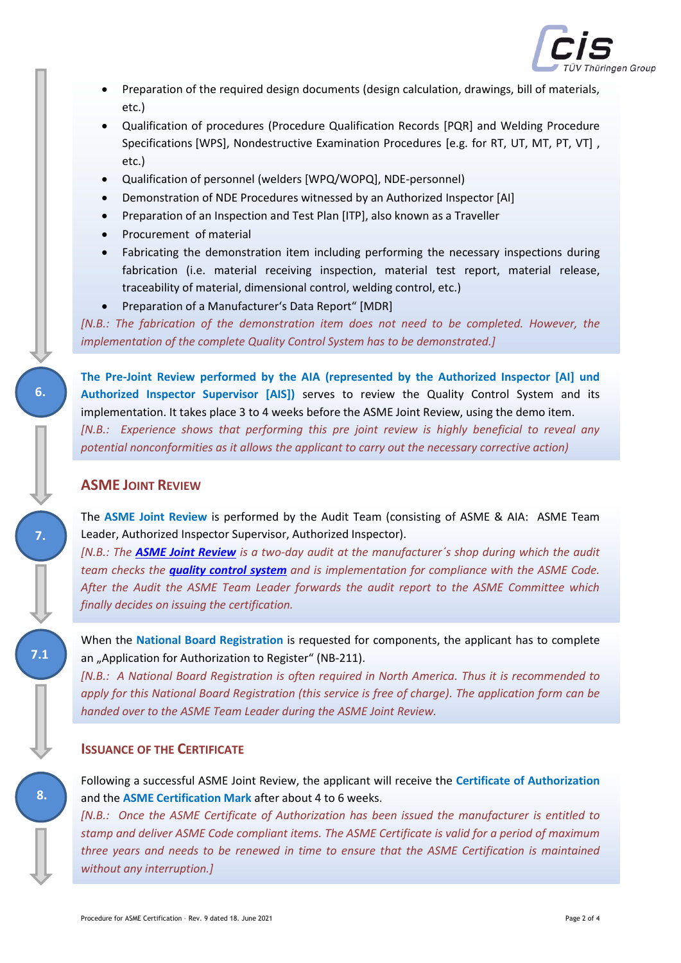

- Preparation of the required design documents (design calculation, drawings, bill of materials, etc.)
- Qualification of procedures (Procedure Qualification Records [PQR] and Welding Procedure Specifications [WPS], Nondestructive Examination Procedures [e.g. for RT, UT, MT, PT, VT] , etc.)
- Qualification of personnel (welders [WPQ/WOPQ], NDE-personnel)
- Demonstration of NDE Procedures witnessed by an Authorized Inspector [AI]
- Preparation of an Inspection and Test Plan [ITP], also known as a Traveller
- Procurement of material
- Fabricating the demonstration item including performing the necessary inspections during fabrication (i.e. material receiving inspection, material test report, material release, traceability of material, dimensional control, welding control, etc.)
- Preparation of a Manufacturer's Data Report" [MDR]

*[N.B.: The fabrication of the demonstration item does not need to be completed. However, the implementation of the complete Quality Control System has to be demonstrated.]*

**The Pre-Joint Review performed by the AIA (represented by the Authorized Inspector [AI] und Authorized Inspector Supervisor [AIS])** serves to review the Quality Control System and its implementation. It takes place 3 to 4 weeks before the ASME Joint Review, using the demo item. *[N.B.: Experience shows that performing this pre joint review is highly beneficial to reveal any potential nonconformities as it allows the applicant to carry out the necessary corrective action)*

## **ASME JOINT REVIEW**

**6.**

**7.**

**7.1**

**8.**

The **ASME Joint Review** is performed by the Audit Team (consisting of ASME & AIA: ASME Team Leader, Authorized Inspector Supervisor, Authorized Inspector).

*[N.B.: The [ASME Joint Review](https://www.asme.org/wwwasmeorg/media/ResourceFiles/Shop/Certification%20&%20Accreditation/BPV-Certification/Information-and-Description-of-the-ASME-Joint-Review-Process-for-Applica.pdf) is a two-day audit at the manufacturer´s shop during which the audit team checks the [quality control system](https://www.asme.org/wwwasmeorg/media/ResourceFiles/Shop/Certification%20&%20Accreditation/BPV-Certification/BPV-Certification_Form_Checklist-Accreditation.pdf) and is implementation for compliance with the ASME Code. After the Audit the ASME Team Leader forwards the audit report to the ASME Committee which finally decides on issuing the certification.*

When the **National Board Registration** is requested for components, the applicant has to complete an "Application for Authorization to Register" (NB-211).

*[N.B.: A National Board Registration is often required in North America. Thus it is recommended to apply for this National Board Registration (this service is free of charge). The application form can be handed over to the ASME Team Leader during the ASME Joint Review.*

#### **ISSUANCE OF THE CERTIFICATE**

Following a successful ASME Joint Review, the applicant will receive the **Certificate of Authorization** and the **ASME Certification Mark** after about 4 to 6 weeks.

*[N.B.: Once the ASME Certificate of Authorization has been issued the manufacturer is entitled to stamp and deliver ASME Code compliant items. The ASME Certificate is valid for a period of maximum three years and needs to be renewed in time to ensure that the ASME Certification is maintained without any interruption.]*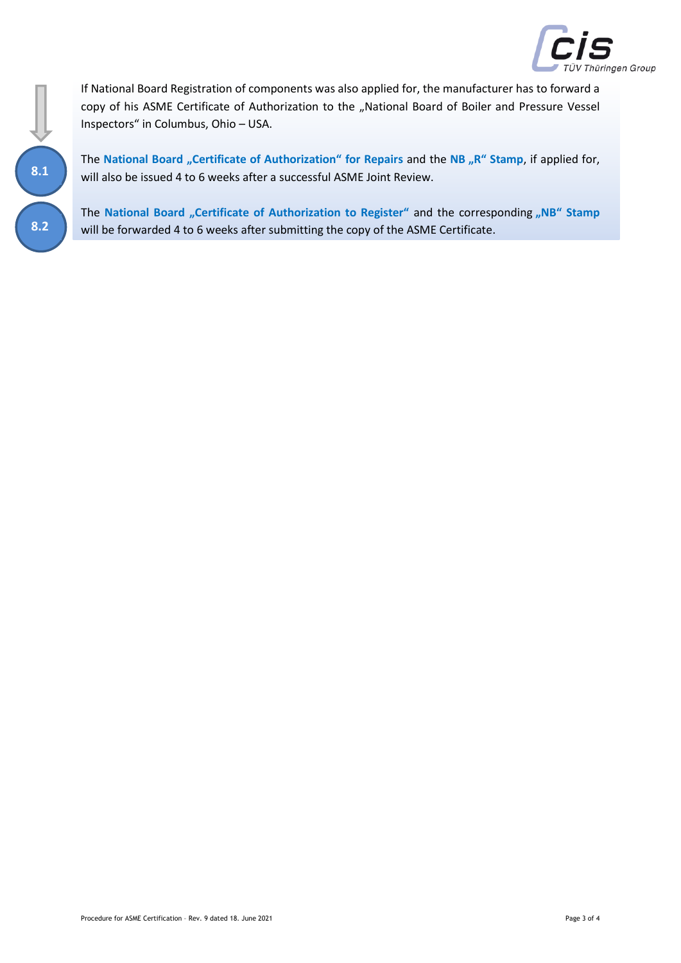

**8.1 8.2** If National Board Registration of components was also applied for, the manufacturer has to forward a copy of his ASME Certificate of Authorization to the "National Board of Boiler and Pressure Vessel Inspectors" in Columbus, Ohio – USA.

The National Board "Certificate of Authorization" for Repairs and the NB "R" Stamp, if applied for, will also be issued 4 to 6 weeks after a successful ASME Joint Review.

The National Board "Certificate of Authorization to Register" and the corresponding "NB" Stamp will be forwarded 4 to 6 weeks after submitting the copy of the ASME Certificate.